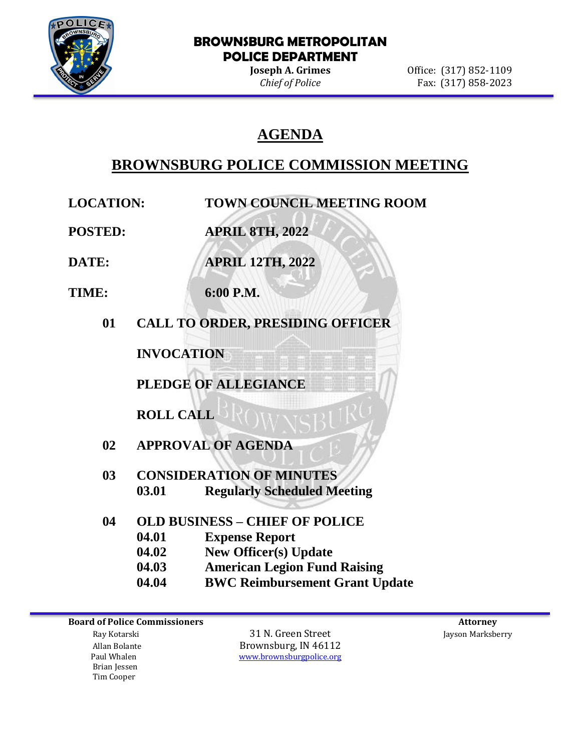

#### **BROWNSBURG METROPOLITAN POLICE DEPARTMENT**

**Joseph A. Grimes Office:** (317) 852-1109 *Chief of Police* Fax: (317) 858-2023

# **AGENDA**

# **BROWNSBURG POLICE COMMISSION MEETING**

**LOCATION: TOWN COUNCIL MEETING ROOM**

**POSTED: APRIL 8TH, 2022**

**DATE: APRIL 12TH, 2022**

- **TIME: 6:00 P.M.**
	- **01 CALL TO ORDER, PRESIDING OFFICER**

**INVOCATION**

**PLEDGE OF ALLEGIANCE**

**ROLL CALL**

- **02 APPROVAL OF AGENDA**
- **03 CONSIDERATION OF MINUTES 03.01 Regularly Scheduled Meeting**
- **04 OLD BUSINESS – CHIEF OF POLICE**
	- **04.01 Expense Report**
		- **04.02 New Officer(s) Update**
		- **04.03 American Legion Fund Raising**
		- **04.04 BWC Reimbursement Grant Update**

Allan Bolante **Brownsburg, IN 46112**<br>Paul Whalen **Brownsburg With The Wave Account** Brownsburg police.org

 Brian Jessen Tim Cooper

 Ray Kotarski 31 N. Green Street Jayson Marksberry [www.brownsburgpolice.org](http://www.brownsburgpolice.org/)

**Board of Police Commissioners Attorney Attorney Attorney Attorney Attorney Attorney Attorney Attorney Attorney**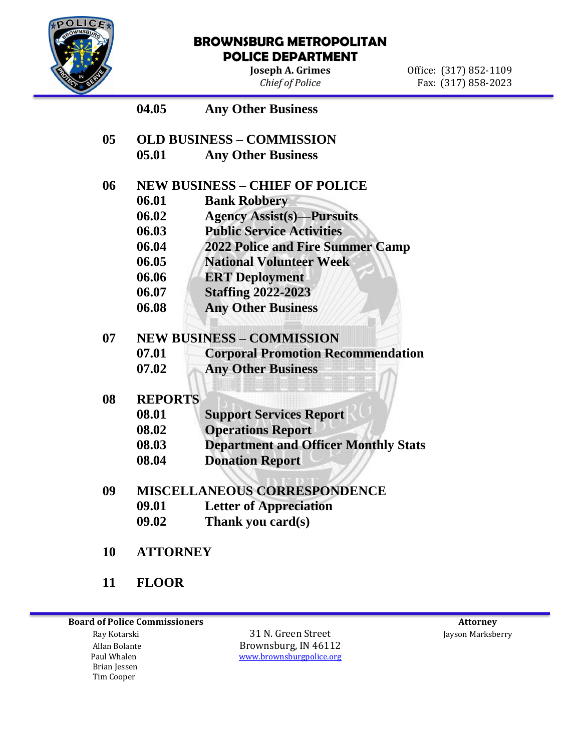

#### **BROWNSBURG METROPOLITAN POLICE DEPARTMENT**

**Joseph A. Grimes Office:** (317) 852-1109 *Chief of Police* Fax: (317) 858-2023

## **04.05 Any Other Business**

**05 OLD BUSINESS – COMMISSION 05.01 Any Other Business** 

### **06 NEW BUSINESS – CHIEF OF POLICE**

- **06.01 Bank Robbery**
- **06.02 Agency Assist(s)—Pursuits**
- **06.03 Public Service Activities**
- **06.04 2022 Police and Fire Summer Camp**
- **06.05 National Volunteer Week**
- **06.06 ERT Deployment**
- **06.07 Staffing 2022-2023**
- **06.08 Any Other Business**

### **07 NEW BUSINESS – COMMISSION**

- **07.01 Corporal Promotion Recommendation**
- **07.02 Any Other Business**

#### **08 REPORTS**

| 08.01 | <b>Support Services Report</b> |
|-------|--------------------------------|
|-------|--------------------------------|

- **08.02 Operations Report**
- **08.03 Department and Officer Monthly Stats**
- **08.04 Donation Report**
- **09 MISCELLANEOUS CORRESPONDENCE**
	- **09.01 Letter of Appreciation**
	- **09.02 Thank you card(s)**
- **10 ATTORNEY**
- **11 FLOOR**

**Board of Police Commissioners Attorney Attorney Attorney Attorney Attorney Attorney Attorney Attorney Attorney** 

 Brian Jessen Tim Cooper

 Ray Kotarski 31 N. Green Street Jayson Marksberry Allan Bolante **Brownsburg, IN 46112**<br>Paul Whalen **Brownsburg With The Wave Account** Brownsburg police.org [www.brownsburgpolice.org](http://www.brownsburgpolice.org/)